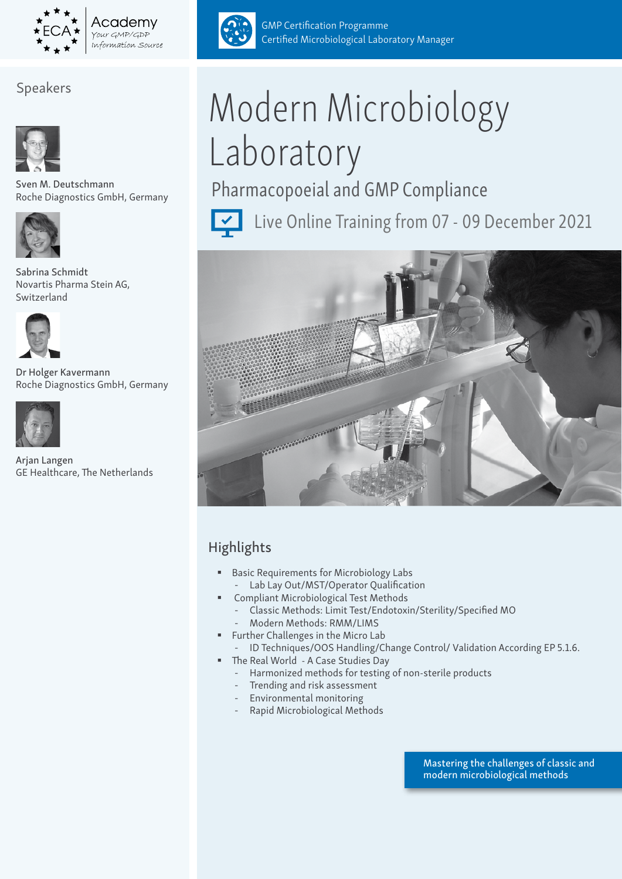

Academv OUT GMP/GDP Information Source

# Speakers



Sven M. Deutschmann Roche Diagnostics GmbH, Germany



Sabrina Schmidt Novartis Pharma Stein AG, Switzerland



Dr Holger Kavermann Roche Diagnostics GmbH, Germany



Arjan Langen GE Healthcare, The Netherlands



GMP Certification Programme Certified Microbiological Laboratory Manager

# Modern Microbiology Laboratory

Pharmacopoeial and GMP Compliance



Live Online Training from 07 - 09 December 2021



# Highlights

- **Basic Requirements for Microbiology Labs** - Lab Lay Out/MST/Operator Qualification
- Compliant Microbiological Test Methods
	- Classic Methods: Limit Test/Endotoxin/Sterility/Specified MO - Modern Methods: RMM/LIMS
- **Further Challenges in the Micro Lab**
- ID Techniques/OOS Handling/Change Control/ Validation According EP 5.1.6. ■ The Real World - A Case Studies Day
	- Harmonized methods for testing of non-sterile products
	- Trending and risk assessment
	- Environmental monitoring
	- Rapid Microbiological Methods

Mastering the challenges of classic and modern microbiological methods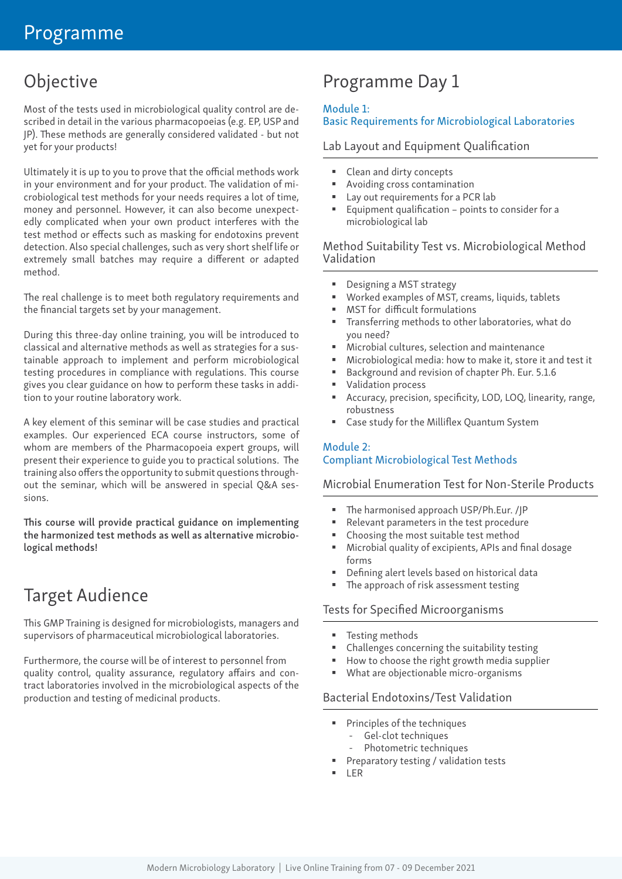# Objective

Most of the tests used in microbiological quality control are described in detail in the various pharmacopoeias (e.g. EP, USP and JP). These methods are generally considered validated - but not yet for your products!

Ultimately it is up to you to prove that the official methods work in your environment and for your product. The validation of microbiological test methods for your needs requires a lot of time, money and personnel. However, it can also become unexpectedly complicated when your own product interferes with the test method or effects such as masking for endotoxins prevent detection. Also special challenges, such as very short shelf life or extremely small batches may require a different or adapted method.

The real challenge is to meet both regulatory requirements and the financial targets set by your management.

During this three-day online training, you will be introduced to classical and alternative methods as well as strategies for a sustainable approach to implement and perform microbiological testing procedures in compliance with regulations. This course gives you clear guidance on how to perform these tasks in addition to your routine laboratory work.

A key element of this seminar will be case studies and practical examples. Our experienced ECA course instructors, some of whom are members of the Pharmacopoeia expert groups, will present their experience to guide you to practical solutions. The training also offers the opportunity to submit questions throughout the seminar, which will be answered in special Q&A sessions.

This course will provide practical guidance on implementing the harmonized test methods as well as alternative microbiological methods!

# Target Audience

This GMP Training is designed for microbiologists, managers and supervisors of pharmaceutical microbiological laboratories.

Furthermore, the course will be of interest to personnel from quality control, quality assurance, regulatory affairs and contract laboratories involved in the microbiological aspects of the production and testing of medicinal products.

# Programme Day 1

#### Module 1:

# Basic Requirements for Microbiological Laboratories

# Lab Layout and Equipment Qualification

- Clean and dirty concepts
- Avoiding cross contamination
- Lay out requirements for a PCR lab
- Equipment qualification points to consider for a microbiological lab

# Method Suitability Test vs. Microbiological Method Validation

- Designing a MST strategy
- Worked examples of MST, creams, liquids, tablets
- MST for difficult formulations
- Transferring methods to other laboratories, what do you need?
- Microbial cultures, selection and maintenance
- Microbiological media: how to make it, store it and test it
- Background and revision of chapter Ph. Eur. 5.1.6
- Validation process
- Accuracy, precision, specificity, LOD, LOQ, linearity, range, robustness
- Case study for the Milliflex Quantum System

# Module 2: Compliant Microbiological Test Methods

Microbial Enumeration Test for Non-Sterile Products

- The harmonised approach USP/Ph.Eur. /JP
- Relevant parameters in the test procedure
- Choosing the most suitable test method
- Microbial quality of excipients, APIs and final dosage forms
- Defining alert levels based on historical data
- The approach of risk assessment testing

## Tests for Specified Microorganisms

- **Testing methods**
- Challenges concerning the suitability testing
- How to choose the right growth media supplier
- What are objectionable micro-organisms

## Bacterial Endotoxins/Test Validation

- Principles of the techniques
	- Gel-clot techniques
	- Photometric techniques
- Preparatory testing / validation tests
- LER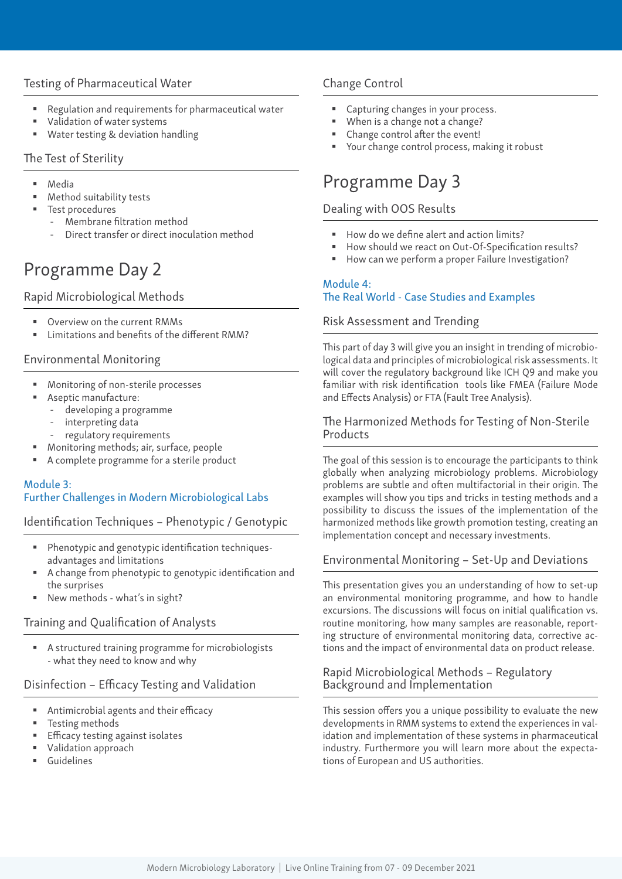# Testing of Pharmaceutical Water

- Regulation and requirements for pharmaceutical water
- Validation of water systems
- Water testing & deviation handling

## The Test of Sterility

- Media
- Method suitability tests
- Test procedures
	- Membrane filtration method
	- Direct transfer or direct inoculation method

# Programme Day 2

# Rapid Microbiological Methods

- Overview on the current RMMs
- Limitations and benefits of the different RMM?

# Environmental Monitoring

- Monitoring of non-sterile processes
- Aseptic manufacture:
	- developing a programme
	- interpreting data
	- regulatory requirements
- Monitoring methods; air, surface, people
- A complete programme for a sterile product

# Module 3: Further Challenges in Modern Microbiological Labs

Identification Techniques – Phenotypic / Genotypic

- Phenotypic and genotypic identification techniquesadvantages and limitations
- A change from phenotypic to genotypic identification and the surprises
- New methods what's in sight?

## Training and Qualification of Analysts

 A structured training programme for microbiologists - what they need to know and why

# Disinfection – Efficacy Testing and Validation

- Antimicrobial agents and their efficacy
- **Testing methods**
- Efficacy testing against isolates
- Validation approach
- Guidelines

# Change Control

- Capturing changes in your process.
- When is a change not a change?
- Change control after the event!
- Your change control process, making it robust

# Programme Day 3

# Dealing with OOS Results

- How do we define alert and action limits?
- How should we react on Out-Of-Specification results?
- How can we perform a proper Failure Investigation?

#### Module 4:

## The Real World - Case Studies and Examples

## Risk Assessment and Trending

This part of day 3 will give you an insight in trending of microbiological data and principles of microbiological risk assessments. It will cover the regulatory background like ICH Q9 and make you familiar with risk identification tools like FMEA (Failure Mode and Effects Analysis) or FTA (Fault Tree Analysis).

## The Harmonized Methods for Testing of Non-Sterile Products

The goal of this session is to encourage the participants to think globally when analyzing microbiology problems. Microbiology problems are subtle and often multifactorial in their origin. The examples will show you tips and tricks in testing methods and a possibility to discuss the issues of the implementation of the harmonized methods like growth promotion testing, creating an implementation concept and necessary investments.

## Environmental Monitoring – Set-Up and Deviations

This presentation gives you an understanding of how to set-up an environmental monitoring programme, and how to handle excursions. The discussions will focus on initial qualification vs. routine monitoring, how many samples are reasonable, reporting structure of environmental monitoring data, corrective actions and the impact of environmental data on product release.

## Rapid Microbiological Methods – Regulatory Background and Implementation

This session offers you a unique possibility to evaluate the new developments in RMM systems to extend the experiences in validation and implementation of these systems in pharmaceutical industry. Furthermore you will learn more about the expectations of European and US authorities.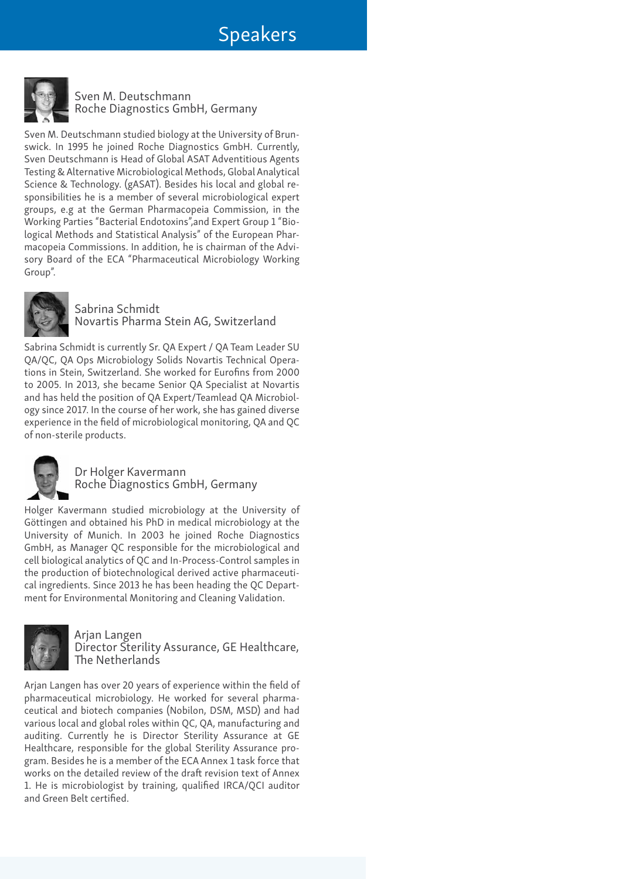# Speakers



Sven M. Deutschmann Roche Diagnostics GmbH, Germany

Sven M. Deutschmann studied biology at the University of Brunswick. In 1995 he joined Roche Diagnostics GmbH. Currently, Sven Deutschmann is Head of Global ASAT Adventitious Agents Testing & Alternative Microbiological Methods, Global Analytical Science & Technology. (gASAT). Besides his local and global responsibilities he is a member of several microbiological expert groups, e.g at the German Pharmacopeia Commission, in the Working Parties "Bacterial Endotoxins",and Expert Group 1 "Biological Methods and Statistical Analysis" of the European Pharmacopeia Commissions. In addition, he is chairman of the Advisory Board of the ECA "Pharmaceutical Microbiology Working Group".



Sabrina Schmidt Novartis Pharma Stein AG, Switzerland

Sabrina Schmidt is currently Sr. QA Expert / QA Team Leader SU QA/QC, QA Ops Microbiology Solids Novartis Technical Operations in Stein, Switzerland. She worked for Eurofins from 2000 to 2005. In 2013, she became Senior QA Specialist at Novartis and has held the position of QA Expert/Teamlead QA Microbiology since 2017. In the course of her work, she has gained diverse experience in the field of microbiological monitoring, QA and QC of non-sterile products.



# Dr Holger Kavermann Roche Diagnostics GmbH, Germany

Holger Kavermann studied microbiology at the University of Göttingen and obtained his PhD in medical microbiology at the University of Munich. In 2003 he joined Roche Diagnostics GmbH, as Manager QC responsible for the microbiological and cell biological analytics of QC and In-Process-Control samples in the production of biotechnological derived active pharmaceutical ingredients. Since 2013 he has been heading the QC Department for Environmental Monitoring and Cleaning Validation.



Arjan Langen Director Sterility Assurance, GE Healthcare, The Netherlands

Arjan Langen has over 20 years of experience within the field of pharmaceutical microbiology. He worked for several pharmaceutical and biotech companies (Nobilon, DSM, MSD) and had various local and global roles within QC, QA, manufacturing and auditing. Currently he is Director Sterility Assurance at GE Healthcare, responsible for the global Sterility Assurance program. Besides he is a member of the ECA Annex 1 task force that works on the detailed review of the draft revision text of Annex 1. He is microbiologist by training, qualified IRCA/QCI auditor and Green Belt certified.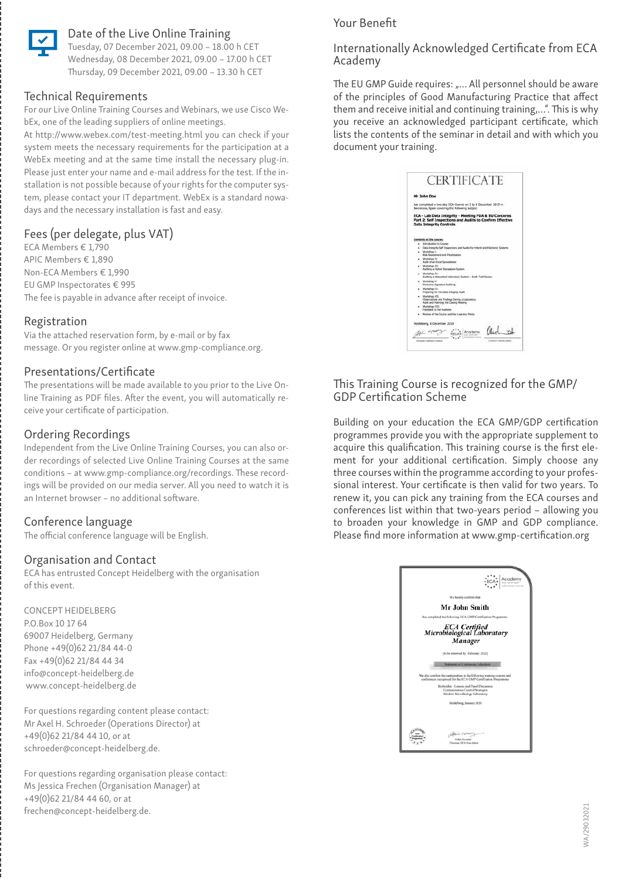

# Date of the Live Online Training

Tuesday, 07 December 2021, 09.00 – 18.00 h CET Wednesday, 08 December 2021, 09.00 – 17.00 h CET Thursday, 09 December 2021, 09.00 – 13.30 h CET

## Technical Requirements

For our Live Online Training Courses and Webinars, we use Cisco WebEx, one of the leading suppliers of online meetings.

At http://www.webex.com/test-meeting.html you can check if your system meets the necessary requirements for the participation at a WebEx meeting and at the same time install the necessary plug-in. Please just enter your name and e-mail address for the test. If the installation is not possible because of your rights for the computer system, please contact your IT department. WebEx is a standard nowadays and the necessary installation is fast and easy.

# Fees (per delegate, plus VAT)

ECA Members € 1,790 APIC Members € 1,890 Non-ECA Members € 1,990 EU GMP Inspectorates € 995 The fee is payable in advance after receipt of invoice.

# Registration

Via the attached reservation form, by e-mail or by fax message. Or you register online at www.gmp-compliance.org.

#### Presentations/Certificate

The presentations will be made available to you prior to the Live Online Training as PDF files. After the event, you will automatically receive your certificate of participation.

# Ordering Recordings

Independent from the Live Online Training Courses, you can also order recordings of selected Live Online Training Courses at the same conditions – at www.gmp-compliance.org/recordings. These recordings will be provided on our media server. All you need to watch it is an Internet browser – no additional software.

# Conference language

The official conference language will be English.

## Organisation and Contact

ECA has entrusted Concept Heidelberg with the organisation of this event.

CONCEPT HEIDELBERG P.O.Box 10 17 64 69007 Heidelberg, Germany Phone +49(0)62 21/84 44-0 Fax +49(0)62 21/84 44 34 info@concept-heidelberg.de www.concept-heidelberg.de

#

For questions regarding content please contact: Mr Axel H. Schroeder (Operations Director) at +49(0)62 21/84 44 10, or at schroeder@concept-heidelberg.de.

For questions regarding organisation please contact: Ms Jessica Frechen (Organisation Manager) at +49(0)62 21/84 44 60, or at frechen@concept-heidelberg.de.

# Your Benefit

## Internationally Acknowledged Certificate from ECA Academy

The EU GMP Guide requires: "... All personnel should be aware of the principles of Good Manufacturing Practice that affect them and receive initial and continuing training,…". This is why you receive an acknowledged participant certificate, which lists the contents of the seminar in detail and with which you document your training.

| Mr John Doe                                                                                                                                        |
|----------------------------------------------------------------------------------------------------------------------------------------------------|
| has completed a two day ECA-Course on 5 to 6 December 2019 in<br>Barcelona, Spain covering the following subject.                                  |
| ECA - Lab Data Integrity - Meeting FDA & EU Concerns<br>Part 2: Self Inspections and Audits to Confirm Effective<br><b>Data Integrity Controls</b> |
| Contants of the course:                                                                                                                            |
| <b>SHrodutton to Course</b>                                                                                                                        |
| Oata Integrity Self Inspections and Audits for Hybrid and Electronic Systems.                                                                      |
| · Workshop I:<br>Risk Assessment and Prioritisation                                                                                                |
| Workshop III:<br>Aude of an Excel Spreadsheet                                                                                                      |
| · Workshee III:<br>Auditing a Hubrid Standalone System.                                                                                            |
| . Workshee IV:<br>Auditing a Natworked Laboratory System - Audit Trail Review                                                                      |
| Workshee V:<br>Electronic Signature Auditing                                                                                                       |
| Workshop V2:<br>Preparing for the Deta Intronty Audit                                                                                              |
| . Workshire VIII<br>Observations and Findings During a Laboratory<br>Audit and Planning the Closing Meeting                                        |
| Workshop VIII.<br>Fredhock to the Automs:                                                                                                          |
| - Review of the Course and Key Learning Points                                                                                                     |
| sdelberg, 6 December 2019.                                                                                                                         |
|                                                                                                                                                    |
|                                                                                                                                                    |

#### This Training Course is recognized for the GMP/ GDP Certification Scheme

Building on your education the ECA GMP/GDP certification programmes provide you with the appropriate supplement to acquire this qualification. This training course is the first element for your additional certification. Simply choose any three courses within the programme according to your professional interest. Your certificate is then valid for two years. To renew it, you can pick any training from the ECA courses and conferences list within that two-years period – allowing you to broaden your knowledge in GMP and GDP compliance. Please find more information at www.gmp-certification.org

| We hereby confirm that                                                                                                                    |
|-------------------------------------------------------------------------------------------------------------------------------------------|
| Mr John Smith                                                                                                                             |
| has completed the following ECA GMP Certification Programme                                                                               |
| ECA Certified<br>Microbiological Laboratory<br>Manager                                                                                    |
| [to be renewed by February 2022]                                                                                                          |
| <b>Statement of Continuous Education</b>                                                                                                  |
| We also confirm the participation in the following training courses and<br>conferences recognised for the ECA GMP Certification Programme |
| Bioburden - Leucos and Panel Discussion                                                                                                   |
| Contamination Control Strategies<br>Modern Microbiology Laboratory                                                                        |
| Heidelberg, January 2020                                                                                                                  |
| Afrikin Honories<br>Chairman, ECA Foundation                                                                                              |